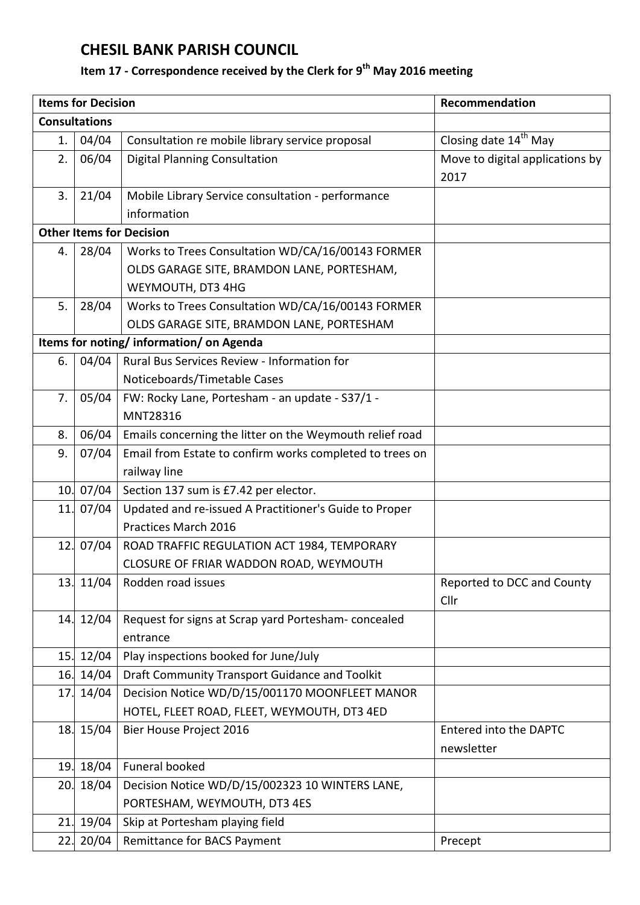## **CHESIL BANK PARISH COUNCIL**

## **Item 17 - Correspondence received by the Clerk for 9 th May 2016 meeting**

| <b>Items for Decision</b>              |           |                                                                 | Recommendation                          |  |  |
|----------------------------------------|-----------|-----------------------------------------------------------------|-----------------------------------------|--|--|
| <b>Consultations</b>                   |           |                                                                 |                                         |  |  |
| 1.                                     | 04/04     | Consultation re mobile library service proposal                 | Closing date 14 <sup>th</sup> May       |  |  |
| 2.                                     | 06/04     | <b>Digital Planning Consultation</b>                            | Move to digital applications by<br>2017 |  |  |
| 3.                                     | 21/04     | Mobile Library Service consultation - performance               |                                         |  |  |
|                                        |           | information                                                     |                                         |  |  |
| <b>Other Items for Decision</b>        |           |                                                                 |                                         |  |  |
| 4.                                     | 28/04     | Works to Trees Consultation WD/CA/16/00143 FORMER               |                                         |  |  |
|                                        |           | OLDS GARAGE SITE, BRAMDON LANE, PORTESHAM,                      |                                         |  |  |
|                                        |           | WEYMOUTH, DT3 4HG                                               |                                         |  |  |
| 5.                                     | 28/04     | Works to Trees Consultation WD/CA/16/00143 FORMER               |                                         |  |  |
|                                        |           | OLDS GARAGE SITE, BRAMDON LANE, PORTESHAM                       |                                         |  |  |
| Items for noting/information/on Agenda |           |                                                                 |                                         |  |  |
| 6.                                     | 04/04     | Rural Bus Services Review - Information for                     |                                         |  |  |
|                                        |           | Noticeboards/Timetable Cases                                    |                                         |  |  |
| 7.                                     | 05/04     | FW: Rocky Lane, Portesham - an update - S37/1 -                 |                                         |  |  |
|                                        |           | MNT28316                                                        |                                         |  |  |
| 8.                                     | 06/04     | Emails concerning the litter on the Weymouth relief road        |                                         |  |  |
| 9.                                     | 07/04     | Email from Estate to confirm works completed to trees on        |                                         |  |  |
|                                        |           | railway line                                                    |                                         |  |  |
| 10.                                    | 07/04     | Section 137 sum is £7.42 per elector.                           |                                         |  |  |
|                                        | 11. 07/04 | Updated and re-issued A Practitioner's Guide to Proper          |                                         |  |  |
|                                        |           | Practices March 2016                                            |                                         |  |  |
|                                        | 12. 07/04 | ROAD TRAFFIC REGULATION ACT 1984, TEMPORARY                     |                                         |  |  |
|                                        |           | CLOSURE OF FRIAR WADDON ROAD, WEYMOUTH                          |                                         |  |  |
| 13.                                    | 11/04     | Rodden road issues                                              | Reported to DCC and County<br>Cllr      |  |  |
| 14.                                    | 12/04     | Request for signs at Scrap yard Portesham-concealed<br>entrance |                                         |  |  |
| 15.                                    | 12/04     | Play inspections booked for June/July                           |                                         |  |  |
| 16.                                    | 14/04     | Draft Community Transport Guidance and Toolkit                  |                                         |  |  |
| 17.                                    | 14/04     | Decision Notice WD/D/15/001170 MOONFLEET MANOR                  |                                         |  |  |
|                                        |           | HOTEL, FLEET ROAD, FLEET, WEYMOUTH, DT3 4ED                     |                                         |  |  |
| 18.                                    | 15/04     | Bier House Project 2016                                         | <b>Entered into the DAPTC</b>           |  |  |
|                                        |           |                                                                 | newsletter                              |  |  |
| 19.                                    | 18/04     | Funeral booked                                                  |                                         |  |  |
| 20.                                    | 18/04     | Decision Notice WD/D/15/002323 10 WINTERS LANE,                 |                                         |  |  |
|                                        |           | PORTESHAM, WEYMOUTH, DT3 4ES                                    |                                         |  |  |
| 21.                                    | 19/04     | Skip at Portesham playing field                                 |                                         |  |  |
| 22.                                    | 20/04     | Remittance for BACS Payment                                     | Precept                                 |  |  |